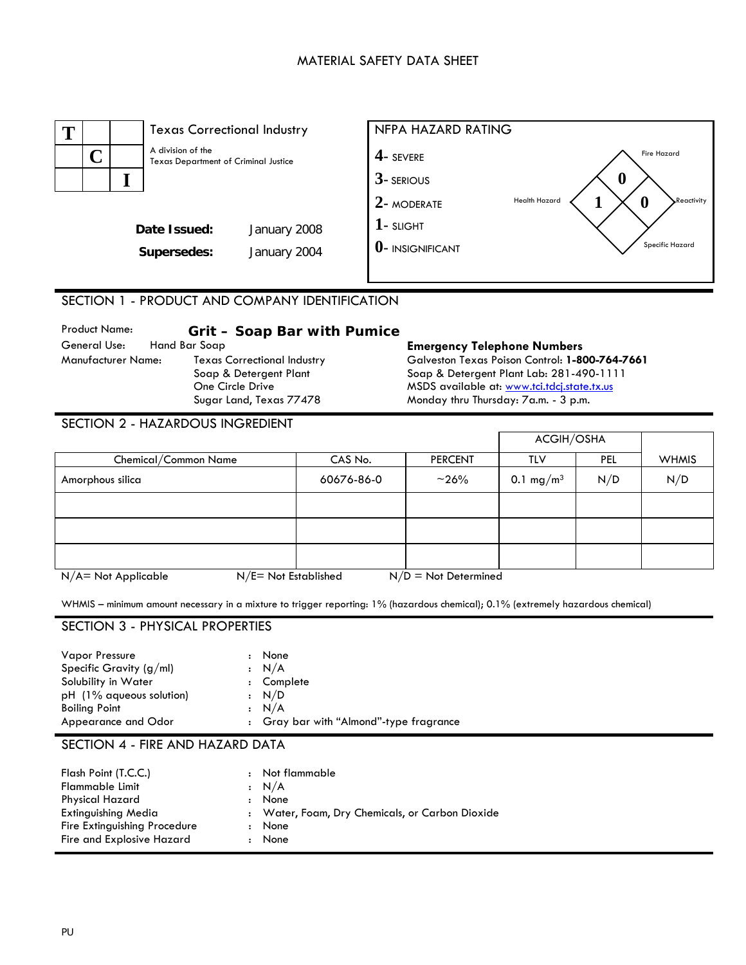## MATERIAL SAFETY DATA SHEET



## SECTION 1 - PRODUCT AND COMPANY IDENTIFICATION

| <b>Product Name:</b> | Grit - Soap Bar with Pumice        |                                                |
|----------------------|------------------------------------|------------------------------------------------|
| General Use:         | Hand Bar Soap                      | <b>Emergency Telephone Numbers</b>             |
| Manufacturer Name:   | <b>Texas Correctional Industry</b> | Galveston Texas Poison Control: 1-800-764-7661 |
|                      | Soap & Detergent Plant             | Soap & Detergent Plant Lab: 281-490-1111       |
|                      | One Circle Drive                   | MSDS available at: www.tci.tdcj.state.tx.us    |
|                      | Sugar Land, Texas 77478            | Monday thru Thursday: 7a.m. - 3 p.m.           |

## SECTION 2 - HAZARDOUS INGREDIENT

|                                                                                        |            |                | ACGIH/OSHA            |     |              |
|----------------------------------------------------------------------------------------|------------|----------------|-----------------------|-----|--------------|
| Chemical/Common Name                                                                   | CAS No.    | <b>PERCENT</b> | TLV                   | PEL | <b>WHMIS</b> |
| Amorphous silica                                                                       | 60676-86-0 | $~10^{-26}$    | 0.1 mg/m <sup>3</sup> | N/D | N/D          |
|                                                                                        |            |                |                       |     |              |
|                                                                                        |            |                |                       |     |              |
|                                                                                        |            |                |                       |     |              |
| $N/E = Not$ Established<br>$N/A = Not Applicable$<br>$\overline{N/D}$ = Not Determined |            |                |                       |     |              |

WHMIS – minimum amount necessary in a mixture to trigger reporting: 1% (hazardous chemical); 0.1% (extremely hazardous chemical)

### SECTION 3 - PHYSICAL PROPERTIES

## SECTION 4 - FIRE AND HAZARD DATA

| <b>Physical Hazard</b><br>None<br>٠<br><b>Extinguishing Media</b><br>: Water, Foam, Dry Chemicals, or Carbon Dioxide<br>Fire Extinguishing Procedure<br>None<br>Fire and Explosive Hazard<br>None<br>$\ddot{\phantom{a}}$ | Flash Point (T.C.C.)<br>Flammable Limit | $\mathbf{r}$<br>: N/A | Not flammable |
|---------------------------------------------------------------------------------------------------------------------------------------------------------------------------------------------------------------------------|-----------------------------------------|-----------------------|---------------|
|---------------------------------------------------------------------------------------------------------------------------------------------------------------------------------------------------------------------------|-----------------------------------------|-----------------------|---------------|